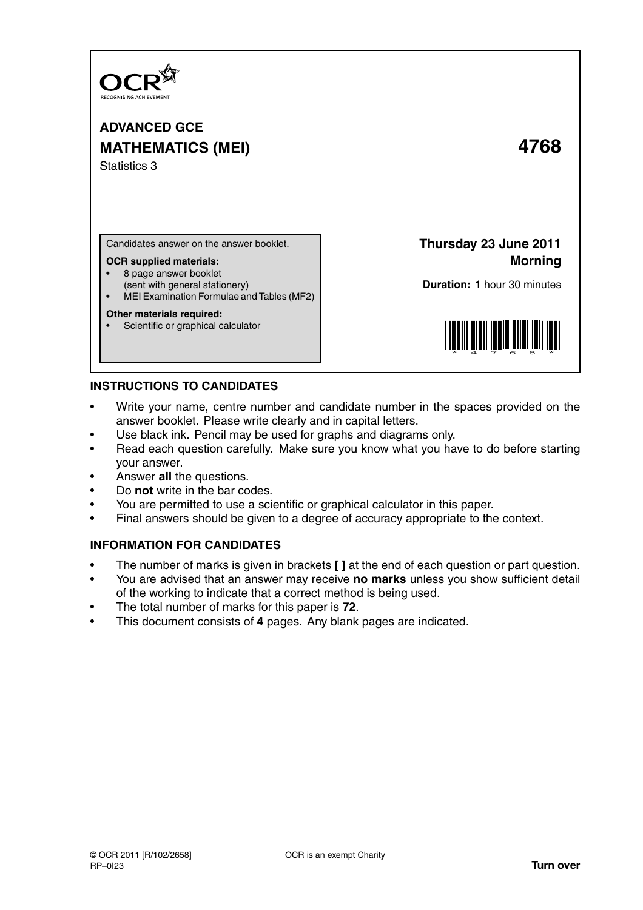

**ADVANCED GCE MATHEMATICS (MEI) 4768** Statistics 3

Candidates answer on the answer booklet.

### **OCR supplied materials:**

- 8 page answer booklet
- (sent with general stationery)
- MEI Examination Formulae and Tables (MF2)

### **Other materials required:**

Scientific or graphical calculator

**Thursday 23 June 2011 Morning**

**Duration:** 1 hour 30 minutes



## **INSTRUCTIONS TO CANDIDATES**

- Write your name, centre number and candidate number in the spaces provided on the answer booklet. Please write clearly and in capital letters.
- Use black ink. Pencil may be used for graphs and diagrams only.
- Read each question carefully. Make sure you know what you have to do before starting your answer.
- Answer **all** the questions.
- Do **not** write in the bar codes.
- You are permitted to use a scientific or graphical calculator in this paper.
- Final answers should be given to a degree of accuracy appropriate to the context.

# **INFORMATION FOR CANDIDATES**

- The number of marks is given in brackets **[ ]** at the end of each question or part question.
- You are advised that an answer may receive **no marks** unless you show sufficient detail of the working to indicate that a correct method is being used.
- The total number of marks for this paper is **72**.
- This document consists of **4** pages. Any blank pages are indicated.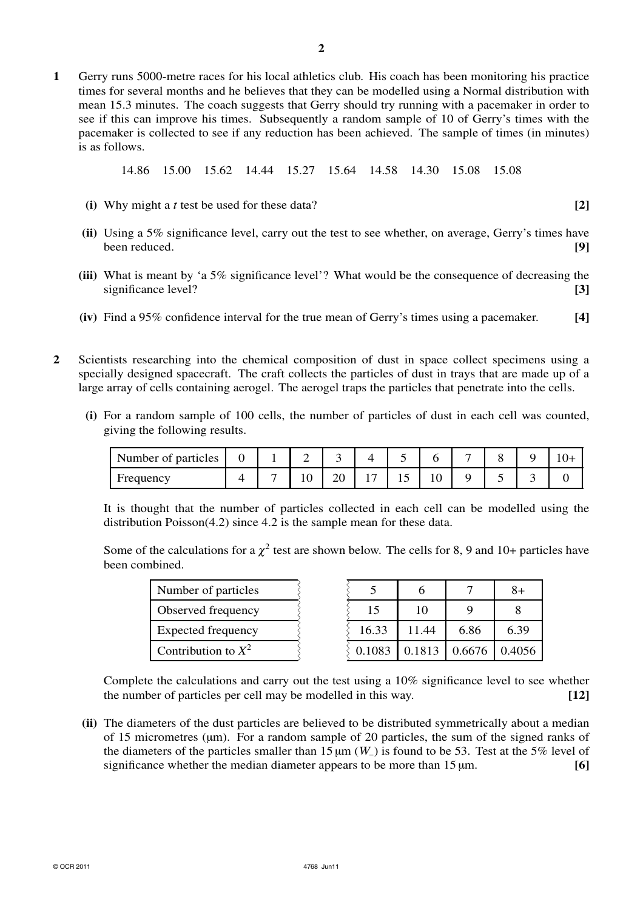**1** Gerry runs 5000-metre races for his local athletics club. His coach has been monitoring his practice times for several months and he believes that they can be modelled using a Normal distribution with mean 15.3 minutes. The coach suggests that Gerry should try running with a pacemaker in order to see if this can improve his times. Subsequently a random sample of 10 of Gerry's times with the pacemaker is collected to see if any reduction has been achieved. The sample of times (in minutes) is as follows.

14.86 15.00 15.62 14.44 15.27 15.64 14.58 14.30 15.08 15.08

- **(i)** Why might a *t* test be used for these data? **[2]**
- **(ii)** Using a 5% significance level, carry out the test to see whether, on average, Gerry's times have been reduced. **[9]**
- **(iii)** What is meant by 'a 5% significance level'? What would be the consequence of decreasing the significance level? **[3]**
- **(iv)** Find a 95% confidence interval for the true mean of Gerry's times using a pacemaker. **[4]**
- **2** Scientists researching into the chemical composition of dust in space collect specimens using a specially designed spacecraft. The craft collects the particles of dust in trays that are made up of a large array of cells containing aerogel. The aerogel traps the particles that penetrate into the cells.
	- **(i)** For a random sample of 100 cells, the number of particles of dust in each cell was counted, giving the following results.

| Number of particles |  | -   |    |    |     |  |  |
|---------------------|--|-----|----|----|-----|--|--|
| Frequency           |  | - ∪ | ∠∪ | ⊥J | . v |  |  |

It is thought that the number of particles collected in each cell can be modelled using the distribution Poisson(4.2) since 4.2 is the sample mean for these data.

Some of the calculations for a  $\chi^2$  test are shown below. The cells for 8, 9 and 10+ particles have been combined.

| Number of particles   |  |
|-----------------------|--|
| Observed frequency    |  |
| Expected frequency    |  |
| Contribution to $X^2$ |  |

| Number of particles       |        |       |        | 8+     |
|---------------------------|--------|-------|--------|--------|
| Observed frequency        | 15     |       |        |        |
| <b>Expected frequency</b> | 16.33  | 11.44 | 6.86   | 6.39   |
| Contribution to $X^2$     | 0.1083 |       | 0.6676 | 0.4056 |

Complete the calculations and carry out the test using a 10% significance level to see whether the number of particles per cell may be modelled in this way. **[12]**

**(ii)** The diameters of the dust particles are believed to be distributed symmetrically about a median of 15 micrometres ( $\mu$ m). For a random sample of 20 particles, the sum of the signed ranks of the diameters of the particles smaller than 15  $\mu$ m (*W*<sub>−</sub>) is found to be 53. Test at the 5% level of significance whether the median diameter appears to be more than 15 µm. **[6]**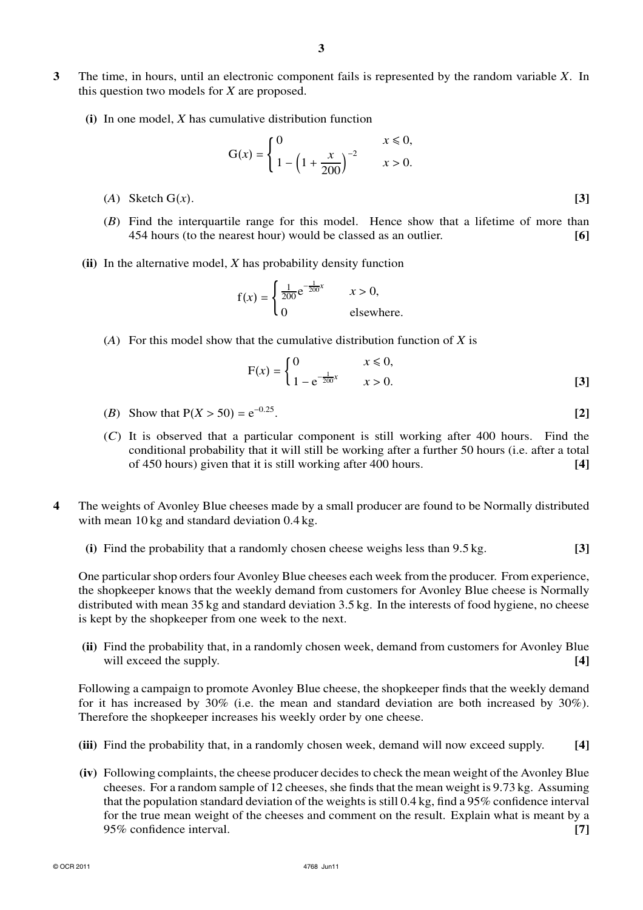- **3** The time, in hours, until an electronic component fails is represented by the random variable *X*. In this question two models for *X* are proposed.
	- **(i)** In one model, *X* has cumulative distribution function

$$
G(x) = \begin{cases} 0 & x \le 0, \\ 1 - \left(1 + \frac{x}{200}\right)^{-2} & x > 0. \end{cases}
$$

- (*A*) Sketch G(*x*). **[3]**
- (*B*) Find the interquartile range for this model. Hence show that a lifetime of more than 454 hours (to the nearest hour) would be classed as an outlier. **[6]**
- **(ii)** In the alternative model, *X* has probability density function

$$
f(x) = \begin{cases} \frac{1}{200} e^{-\frac{1}{200}x} & x > 0, \\ 0 & \text{elsewhere.} \end{cases}
$$

(*A*) For this model show that the cumulative distribution function of *X* is

$$
F(x) = \begin{cases} 0 & x \le 0, \\ 1 - e^{-\frac{1}{200}x} & x > 0. \end{cases}
$$
 [3]

- (*B*) Show that  $P(X > 50) = e^{-0.25}$ . **[2]**
- (*C*) It is observed that a particular component is still working after 400 hours. Find the conditional probability that it will still be working after a further 50 hours (i.e. after a total of 450 hours) given that it is still working after 400 hours. **[4]**
- **4** The weights of Avonley Blue cheeses made by a small producer are found to be Normally distributed with mean 10 kg and standard deviation 0.4 kg.
	- **(i)** Find the probability that a randomly chosen cheese weighs less than 9.5 kg. **[3]**

One particular shop orders four Avonley Blue cheeses each week from the producer. From experience, the shopkeeper knows that the weekly demand from customers for Avonley Blue cheese is Normally distributed with mean 35 kg and standard deviation 3.5 kg. In the interests of food hygiene, no cheese is kept by the shopkeeper from one week to the next.

**(ii)** Find the probability that, in a randomly chosen week, demand from customers for Avonley Blue will exceed the supply. **[4]**  $\qquad \qquad$  [4]

Following a campaign to promote Avonley Blue cheese, the shopkeeper finds that the weekly demand for it has increased by 30% (i.e. the mean and standard deviation are both increased by 30%). Therefore the shopkeeper increases his weekly order by one cheese.

- **(iii)** Find the probability that, in a randomly chosen week, demand will now exceed supply. **[4]**
- **(iv)** Following complaints, the cheese producer decides to check the mean weight of the Avonley Blue cheeses. For a random sample of 12 cheeses, she finds that the mean weight is 9.73 kg. Assuming that the population standard deviation of the weights is still 0.4 kg, find a 95% confidence interval for the true mean weight of the cheeses and comment on the result. Explain what is meant by a 95% confidence interval. **[7]**